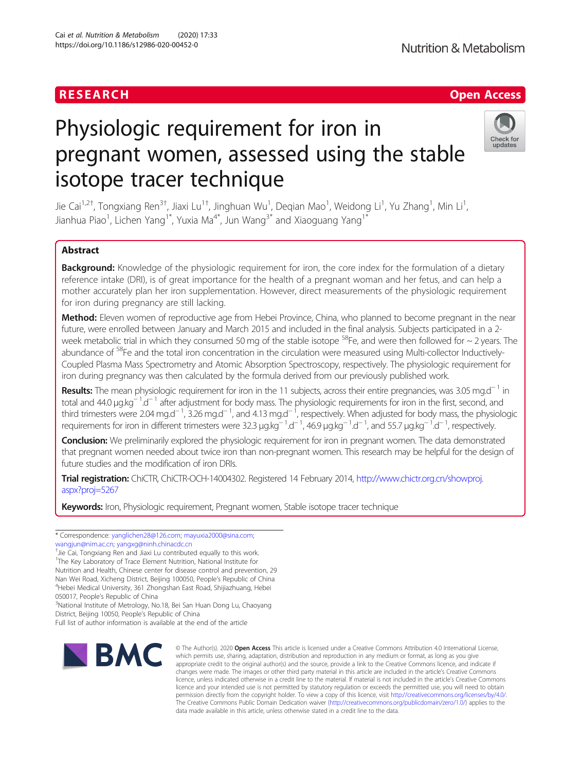# RESEARCH **RESEARCH CHANNEL EXECUTE ACCESS**

# Physiologic requirement for iron in pregnant women, assessed using the stable isotope tracer technique



Jie Cai<sup>1,2†</sup>, Tongxiang Ren<sup>3†</sup>, Jiaxi Lu<sup>1†</sup>, Jinghuan Wu<sup>1</sup>, Deqian Mao<sup>1</sup>, Weidong Li<sup>1</sup>, Yu Zhang<sup>1</sup>, Min Li<sup>1</sup> , Jianhua Piao<sup>1</sup>, Lichen Yang<sup>1\*</sup>, Yuxia Ma<sup>4\*</sup>, Jun Wang<sup>3\*</sup> and Xiaoguang Yang<sup>1\*</sup>

## Abstract

Background: Knowledge of the physiologic requirement for iron, the core index for the formulation of a dietary reference intake (DRI), is of great importance for the health of a pregnant woman and her fetus, and can help a mother accurately plan her iron supplementation. However, direct measurements of the physiologic requirement for iron during pregnancy are still lacking.

Method: Eleven women of reproductive age from Hebei Province, China, who planned to become pregnant in the near future, were enrolled between January and March 2015 and included in the final analysis. Subjects participated in a 2 week metabolic trial in which they consumed 50 mg of the stable isotope  $^{58}$ Fe, and were then followed for  $\sim$  2 years. The abundance of <sup>58</sup>Fe and the total iron concentration in the circulation were measured using Multi-collector Inductively-Coupled Plasma Mass Spectrometry and Atomic Absorption Spectroscopy, respectively. The physiologic requirement for iron during pregnancy was then calculated by the formula derived from our previously published work.

Results: The mean physiologic requirement for iron in the 11 subjects, across their entire pregnancies, was 3.05 mg.d<sup>−1</sup> in total and 44.0 μg.kg<sup>-1</sup>.d<sup>-1</sup> after adjustment for body mass. The physiologic requirements for iron in the first, second, and third trimesters were 2.04 mg.d<sup>−1</sup>, 3.26 mg.d<sup>−1</sup>, and 4.13 mg.d<sup>−1</sup>, respectively. When adjusted for body mass, the physiologic requirements for iron in different trimesters were 32.3 μg.kg<sup>-1</sup>.d<sup>-1</sup>,46.9 μg.kg<sup>-1</sup>.d<sup>-1</sup>, and 55.7 μg.kg<sup>-1</sup>.d<sup>-1</sup>, respectively.

Conclusion: We preliminarily explored the physiologic requirement for iron in pregnant women. The data demonstrated that pregnant women needed about twice iron than non-pregnant women. This research may be helpful for the design of future studies and the modification of iron DRIs.

Trial registration: ChiCTR, ChiCTR-OCH-14004302. Registered 14 February 2014, [http://www.chictr.org.cn/showproj.](http://www.chictr.org.cn/showproj.aspx?proj=5267) [aspx?proj=5267](http://www.chictr.org.cn/showproj.aspx?proj=5267)

Keywords: Iron, Physiologic requirement, Pregnant women, Stable isotope tracer technique

\* Correspondence: [yanglichen28@126.com](mailto:yanglichen28@126.com); [mayuxia2000@sina.com](mailto:mayuxia2000@sina.com);

- [wangjun@nim.ac.cn](mailto:wangjun@nim.ac.cn); [yangxg@ninh.chinacdc.cn](mailto:yangxg@ninh.chinacdc.cn) †
- <sup>+</sup>Jie Cai, Tongxiang Ren and Jiaxi Lu contributed equally to this work. <sup>1</sup>The Key Laboratory of Trace Element Nutrition, National Institute for Nutrition and Health, Chinese center for disease control and prevention, 29
- Nan Wei Road, Xicheng District, Beijing 100050, People's Republic of China <sup>4</sup>

Hebei Medical University, 361 Zhongshan East Road, Shijiazhuang, Hebei 050017, People's Republic of China

<sup>3</sup>National Institute of Metrology, No.18, Bei San Huan Dong Lu, Chaoyang

District, Beijing 10050, People's Republic of China

Full list of author information is available at the end of the article



© The Author(s), 2020 **Open Access** This article is licensed under a Creative Commons Attribution 4.0 International License, which permits use, sharing, adaptation, distribution and reproduction in any medium or format, as long as you give appropriate credit to the original author(s) and the source, provide a link to the Creative Commons licence, and indicate if changes were made. The images or other third party material in this article are included in the article's Creative Commons licence, unless indicated otherwise in a credit line to the material. If material is not included in the article's Creative Commons licence and your intended use is not permitted by statutory regulation or exceeds the permitted use, you will need to obtain permission directly from the copyright holder. To view a copy of this licence, visit [http://creativecommons.org/licenses/by/4.0/.](http://creativecommons.org/licenses/by/4.0/) The Creative Commons Public Domain Dedication waiver [\(http://creativecommons.org/publicdomain/zero/1.0/](http://creativecommons.org/publicdomain/zero/1.0/)) applies to the data made available in this article, unless otherwise stated in a credit line to the data.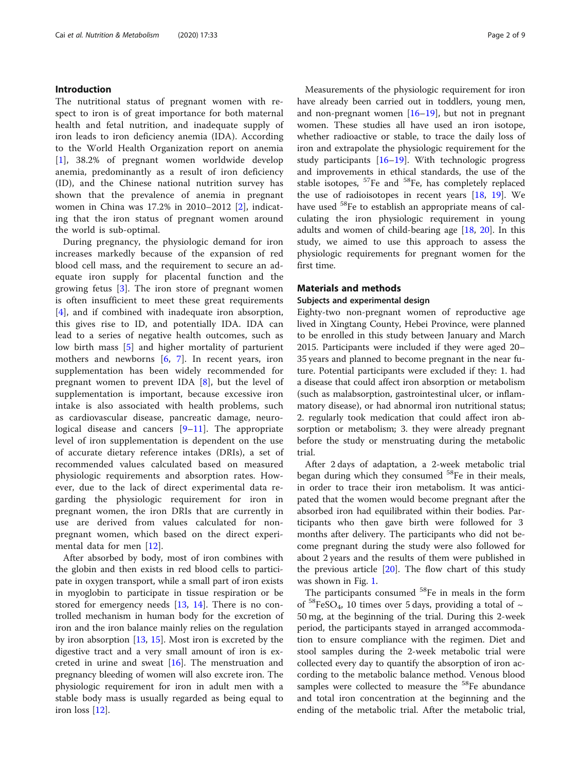#### Introduction

The nutritional status of pregnant women with respect to iron is of great importance for both maternal health and fetal nutrition, and inadequate supply of iron leads to iron deficiency anemia (IDA). According to the World Health Organization report on anemia [[1\]](#page-7-0), 38.2% of pregnant women worldwide develop anemia, predominantly as a result of iron deficiency (ID), and the Chinese national nutrition survey has shown that the prevalence of anemia in pregnant women in China was 17.2% in 2010–2012 [\[2](#page-7-0)], indicating that the iron status of pregnant women around the world is sub-optimal.

During pregnancy, the physiologic demand for iron increases markedly because of the expansion of red blood cell mass, and the requirement to secure an adequate iron supply for placental function and the growing fetus [[3\]](#page-7-0). The iron store of pregnant women is often insufficient to meet these great requirements [[4\]](#page-7-0), and if combined with inadequate iron absorption, this gives rise to ID, and potentially IDA. IDA can lead to a series of negative health outcomes, such as low birth mass [\[5](#page-7-0)] and higher mortality of parturient mothers and newborns  $[6, 7]$  $[6, 7]$  $[6, 7]$  $[6, 7]$  $[6, 7]$ . In recent years, iron supplementation has been widely recommended for pregnant women to prevent IDA [[8\]](#page-7-0), but the level of supplementation is important, because excessive iron intake is also associated with health problems, such as cardiovascular disease, pancreatic damage, neurological disease and cancers [\[9](#page-7-0)–[11](#page-7-0)]. The appropriate level of iron supplementation is dependent on the use of accurate dietary reference intakes (DRIs), a set of recommended values calculated based on measured physiologic requirements and absorption rates. However, due to the lack of direct experimental data regarding the physiologic requirement for iron in pregnant women, the iron DRIs that are currently in use are derived from values calculated for nonpregnant women, which based on the direct experimental data for men [[12](#page-7-0)].

After absorbed by body, most of iron combines with the globin and then exists in red blood cells to participate in oxygen transport, while a small part of iron exists in myoglobin to participate in tissue respiration or be stored for emergency needs [[13,](#page-7-0) [14\]](#page-7-0). There is no controlled mechanism in human body for the excretion of iron and the iron balance mainly relies on the regulation by iron absorption [\[13](#page-7-0), [15\]](#page-7-0). Most iron is excreted by the digestive tract and a very small amount of iron is excreted in urine and sweat  $[16]$  $[16]$ . The menstruation and pregnancy bleeding of women will also excrete iron. The physiologic requirement for iron in adult men with a stable body mass is usually regarded as being equal to iron loss [[12\]](#page-7-0).

Measurements of the physiologic requirement for iron have already been carried out in toddlers, young men, and non-pregnant women  $[16–19]$  $[16–19]$  $[16–19]$  $[16–19]$ , but not in pregnant women. These studies all have used an iron isotope, whether radioactive or stable, to trace the daily loss of iron and extrapolate the physiologic requirement for the study participants  $[16–19]$  $[16–19]$  $[16–19]$  $[16–19]$  $[16–19]$ . With technologic progress and improvements in ethical standards, the use of the stable isotopes,  $57Fe$  and  $58Fe$ , has completely replaced the use of radioisotopes in recent years  $[18, 19]$  $[18, 19]$  $[18, 19]$  $[18, 19]$ . We have used 58Fe to establish an appropriate means of calculating the iron physiologic requirement in young adults and women of child-bearing age  $[18, 20]$  $[18, 20]$  $[18, 20]$ . In this study, we aimed to use this approach to assess the physiologic requirements for pregnant women for the first time.

#### Materials and methods

#### Subjects and experimental design

Eighty-two non-pregnant women of reproductive age lived in Xingtang County, Hebei Province, were planned to be enrolled in this study between January and March 2015. Participants were included if they were aged 20– 35 years and planned to become pregnant in the near future. Potential participants were excluded if they: 1. had a disease that could affect iron absorption or metabolism (such as malabsorption, gastrointestinal ulcer, or inflammatory disease), or had abnormal iron nutritional status; 2. regularly took medication that could affect iron absorption or metabolism; 3. they were already pregnant before the study or menstruating during the metabolic trial.

After 2 days of adaptation, a 2-week metabolic trial began during which they consumed  $58$ Fe in their meals, in order to trace their iron metabolism. It was anticipated that the women would become pregnant after the absorbed iron had equilibrated within their bodies. Participants who then gave birth were followed for 3 months after delivery. The participants who did not become pregnant during the study were also followed for about 2 years and the results of them were published in the previous article  $[20]$ . The flow chart of this study was shown in Fig. [1](#page-2-0).

The participants consumed <sup>58</sup>Fe in meals in the form of <sup>58</sup>FeSO<sub>4</sub>, 10 times over 5 days, providing a total of  $\sim$ 50 mg, at the beginning of the trial. During this 2-week period, the participants stayed in arranged accommodation to ensure compliance with the regimen. Diet and stool samples during the 2-week metabolic trial were collected every day to quantify the absorption of iron according to the metabolic balance method. Venous blood samples were collected to measure the <sup>58</sup>Fe abundance and total iron concentration at the beginning and the ending of the metabolic trial. After the metabolic trial,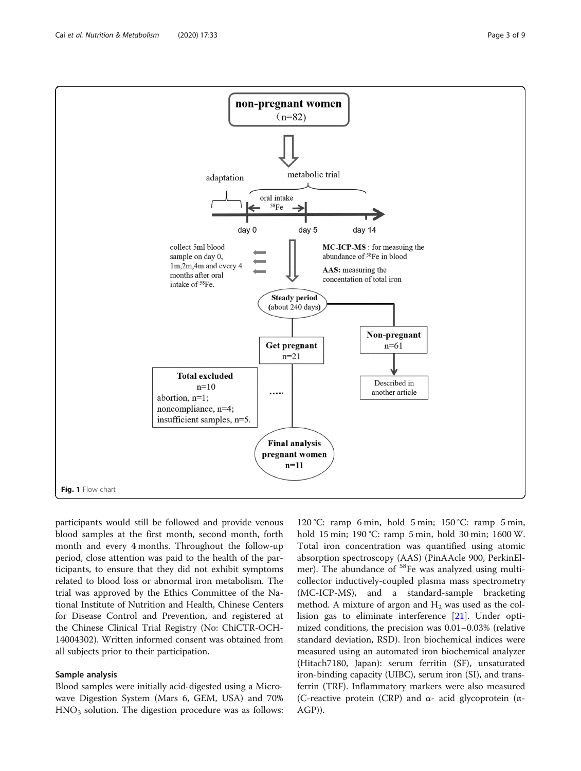<span id="page-2-0"></span>

participants would still be followed and provide venous blood samples at the first month, second month, forth month and every 4 months. Throughout the follow-up period, close attention was paid to the health of the participants, to ensure that they did not exhibit symptoms related to blood loss or abnormal iron metabolism. The trial was approved by the Ethics Committee of the National Institute of Nutrition and Health, Chinese Centers for Disease Control and Prevention, and registered at the Chinese Clinical Trial Registry (No: ChiCTR-OCH-14004302). Written informed consent was obtained from all subjects prior to their participation.

#### Sample analysis

Blood samples were initially acid-digested using a Microwave Digestion System (Mars 6, GEM, USA) and 70%  $HNO<sub>3</sub>$  solution. The digestion procedure was as follows:

120 °C: ramp 6 min, hold 5 min; 150 °C: ramp 5 min, hold 15 min; 190 °C: ramp 5 min, hold 30 min; 1600 W. Total iron concentration was quantified using atomic absorption spectroscopy (AAS) (PinAAcle 900, PerkinElmer). The abundance of <sup>58</sup>Fe was analyzed using multicollector inductively-coupled plasma mass spectrometry (MC-ICP-MS), and a standard-sample bracketing method. A mixture of argon and  $H_2$  was used as the collision gas to eliminate interference [\[21](#page-7-0)]. Under optimized conditions, the precision was 0.01–0.03% (relative standard deviation, RSD). Iron biochemical indices were measured using an automated iron biochemical analyzer (Hitach7180, Japan): serum ferritin (SF), unsaturated iron-binding capacity (UIBC), serum iron (SI), and transferrin (TRF). Inflammatory markers were also measured (C-reactive protein (CRP) and α- acid glycoprotein (α-AGP)).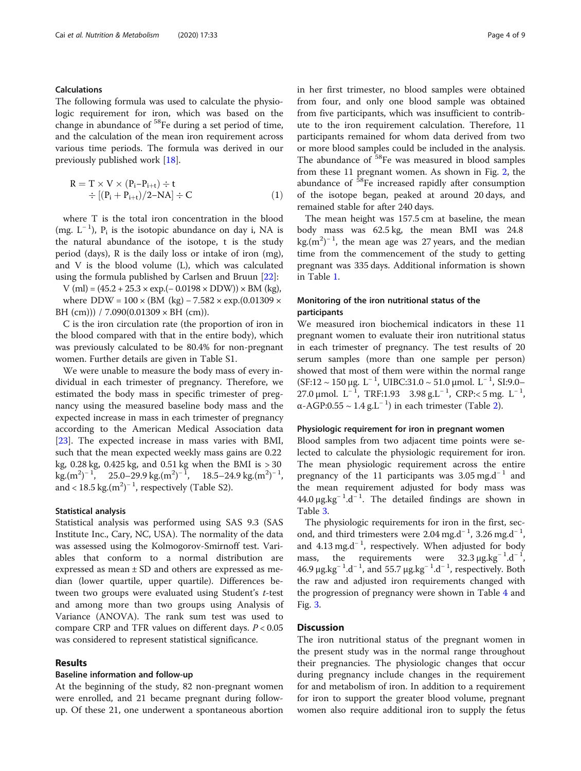#### Calculations

The following formula was used to calculate the physiologic requirement for iron, which was based on the change in abundance of 58Fe during a set period of time, and the calculation of the mean iron requirement across various time periods. The formula was derived in our previously published work [\[18](#page-7-0)].

$$
R = T \times V \times (P_i - P_{i+t}) \div t
$$
  
 
$$
\div [(P_i + P_{i+t})/2 - NA] \div C
$$
 (1)

where T is the total iron concentration in the blood (mg.  $L^{-1}$ ),  $P_i$  is the isotopic abundance on day i, NA is the natural abundance of the isotope, t is the study period (days), R is the daily loss or intake of iron (mg), and V is the blood volume (L), which was calculated using the formula published by Carlsen and Bruun [[22](#page-7-0)]:

 $V$  (ml) = (45.2 + 25.3 × exp.(– 0.0198 × DDW)) × BM (kg), where DDW =  $100 \times (BM (kg) - 7.582 \times exp.(0.01309 \times$ BH (cm))) / 7.090(0.01309  $\times$  BH (cm)).

C is the iron circulation rate (the proportion of iron in the blood compared with that in the entire body), which was previously calculated to be 80.4% for non-pregnant women. Further details are given in Table S1.

We were unable to measure the body mass of every individual in each trimester of pregnancy. Therefore, we estimated the body mass in specific trimester of pregnancy using the measured baseline body mass and the expected increase in mass in each trimester of pregnancy according to the American Medical Association data [[23\]](#page-7-0). The expected increase in mass varies with BMI, such that the mean expected weekly mass gains are 0.22 kg, 0.28 kg, 0.425 kg, and 0.51 kg when the BMI is > 30  $\text{kg}.\text{(m}^2\text{)}^{-1}$ , 25.0–29.9 kg.(m<sup>2</sup>)<sup>–1</sup>, 18.5–24.9 kg.(m<sup>2</sup>)<sup>–1</sup>, and < 18.5 kg. $(m^2)^{-1}$ , respectively (Table S2).

#### Statistical analysis

Statistical analysis was performed using SAS 9.3 (SAS Institute Inc., Cary, NC, USA). The normality of the data was assessed using the Kolmogorov-Smirnoff test. Variables that conform to a normal distribution are expressed as mean ± SD and others are expressed as median (lower quartile, upper quartile). Differences between two groups were evaluated using Student's t-test and among more than two groups using Analysis of Variance (ANOVA). The rank sum test was used to compare CRP and TFR values on different days.  $P < 0.05$ was considered to represent statistical significance.

#### Results

#### Baseline information and follow-up

At the beginning of the study, 82 non-pregnant women were enrolled, and 21 became pregnant during followup. Of these 21, one underwent a spontaneous abortion in her first trimester, no blood samples were obtained from four, and only one blood sample was obtained from five participants, which was insufficient to contribute to the iron requirement calculation. Therefore, 11 participants remained for whom data derived from two or more blood samples could be included in the analysis. The abundance of <sup>58</sup>Fe was measured in blood samples from these 11 pregnant women. As shown in Fig. [2](#page-4-0), the abundance of 58Fe increased rapidly after consumption of the isotope began, peaked at around 20 days, and remained stable for after 240 days.

The mean height was 157.5 cm at baseline, the mean body mass was 62.5 kg, the mean BMI was 24.8  $\text{kg} \cdot (\text{m}^2)^{-1}$ , the mean age was 27 years, and the median time from the commencement of the study to getting pregnant was 335 days. Additional information is shown in Table [1.](#page-4-0)

### Monitoring of the iron nutritional status of the participants

We measured iron biochemical indicators in these 11 pregnant women to evaluate their iron nutritional status in each trimester of pregnancy. The test results of 20 serum samples (more than one sample per person) showed that most of them were within the normal range  $(SF:12 ~ √ 150 \mu g$ . L<sup>-1</sup>, UIBC:31.0 ~ 51.0 μmol. L<sup>-1</sup>, SI:9.0– 27.0 μmol. L<sup>-1</sup>, TRF:1.93 3.98 g.L<sup>-1</sup>, CRP:<5 mg. L<sup>-1</sup>, α-AGP:0.55 ~  $1.4$  g.L<sup>-1</sup>) in each trimester (Table [2\)](#page-5-0).

#### Physiologic requirement for iron in pregnant women

Blood samples from two adjacent time points were selected to calculate the physiologic requirement for iron. The mean physiologic requirement across the entire pregnancy of the 11 participants was 3.05 mg.d<sup>-1</sup> and the mean requirement adjusted for body mass was  $44.0 \,\mu\text{g}.\text{kg}^{-1}.\text{d}^{-1}$ . The detailed findings are shown in Table [3.](#page-5-0)

The physiologic requirements for iron in the first, second, and third trimesters were 2.04 mg.d<sup>-1</sup>, 3.26 mg.d<sup>-1</sup>, and 4.13 mg.d<sup>-1</sup>, respectively. When adjusted for body mass, the requirements were  $32.3 \mu g kg^{-1} d^{-1}$ , 46.9 μg.kg<sup>-1</sup>.d<sup>-1</sup>, and 55.7 μg.kg<sup>-1</sup>.d<sup>-1</sup>, respectively. Both the raw and adjusted iron requirements changed with the progression of pregnancy were shown in Table [4](#page-6-0) and Fig. [3](#page-6-0).

#### **Discussion**

The iron nutritional status of the pregnant women in the present study was in the normal range throughout their pregnancies. The physiologic changes that occur during pregnancy include changes in the requirement for and metabolism of iron. In addition to a requirement for iron to support the greater blood volume, pregnant women also require additional iron to supply the fetus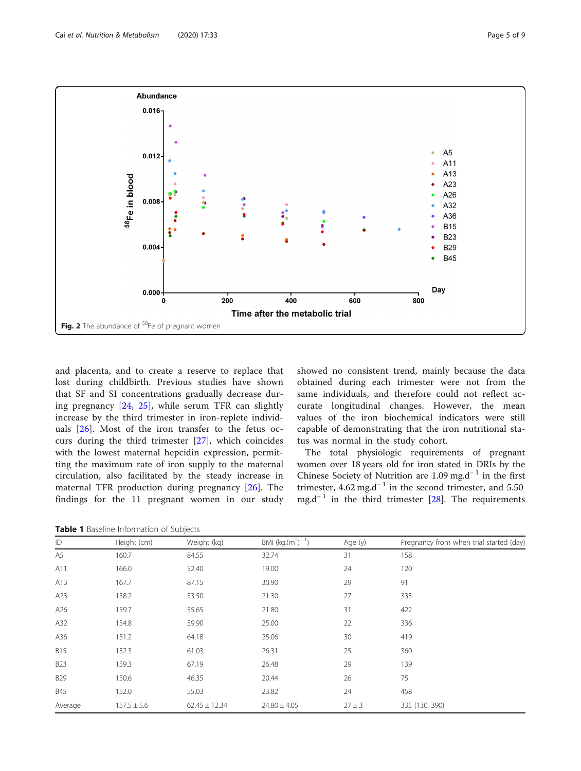<span id="page-4-0"></span>

and placenta, and to create a reserve to replace that lost during childbirth. Previous studies have shown that SF and SI concentrations gradually decrease during pregnancy [[24,](#page-7-0) [25\]](#page-7-0), while serum TFR can slightly increase by the third trimester in iron-replete individuals [[26\]](#page-8-0). Most of the iron transfer to the fetus occurs during the third trimester [\[27\]](#page-8-0), which coincides with the lowest maternal hepcidin expression, permitting the maximum rate of iron supply to the maternal circulation, also facilitated by the steady increase in maternal TFR production during pregnancy [[26](#page-8-0)]. The findings for the 11 pregnant women in our study

showed no consistent trend, mainly because the data obtained during each trimester were not from the same individuals, and therefore could not reflect accurate longitudinal changes. However, the mean values of the iron biochemical indicators were still capable of demonstrating that the iron nutritional status was normal in the study cohort.

The total physiologic requirements of pregnant women over 18 years old for iron stated in DRIs by the Chinese Society of Nutrition are 1.09 mg.d<sup>-1</sup> in the first trimester, 4.62 mg.d<sup>-1</sup> in the second trimester, and 5.50 mg.d<sup>-1</sup> in the third trimester [\[28](#page-8-0)]. The requirements

Table 1 Baseline Information of Subjects

| ID         | Height (cm)     | Weight (kg)       | BMI (kg. $(m^2)^{-1}$ ) | Age (y)    | Pregnancy from when trial started (day) |
|------------|-----------------|-------------------|-------------------------|------------|-----------------------------------------|
| A5         | 160.7           | 84.55             | 32.74                   | 31         | 158                                     |
| A11        | 166.0           | 52.40             | 19.00                   | 24         | 120                                     |
| A13        | 167.7           | 87.15             | 30.90                   | 29         | 91                                      |
| A23        | 158.2           | 53.50             | 21.30                   | 27         | 335                                     |
| A26        | 159.7           | 55.65             | 21.80                   | 31         | 422                                     |
| A32        | 154.8           | 59.90             | 25.00                   | 22         | 336                                     |
| A36        | 151.2           | 64.18             | 25.06                   | 30         | 419                                     |
| <b>B15</b> | 152.3           | 61.03             | 26.31                   | 25         | 360                                     |
| <b>B23</b> | 159.3           | 67.19             | 26.48                   | 29         | 139                                     |
| <b>B29</b> | 150.6           | 46.35             | 20.44                   | 26         | 75                                      |
| <b>B45</b> | 152.0           | 55.03             | 23.82                   | 24         | 458                                     |
| Average    | $157.5 \pm 5.6$ | $62.45 \pm 12.34$ | $24.80 \pm 4.05$        | $27 \pm 3$ | 335 (130, 390)                          |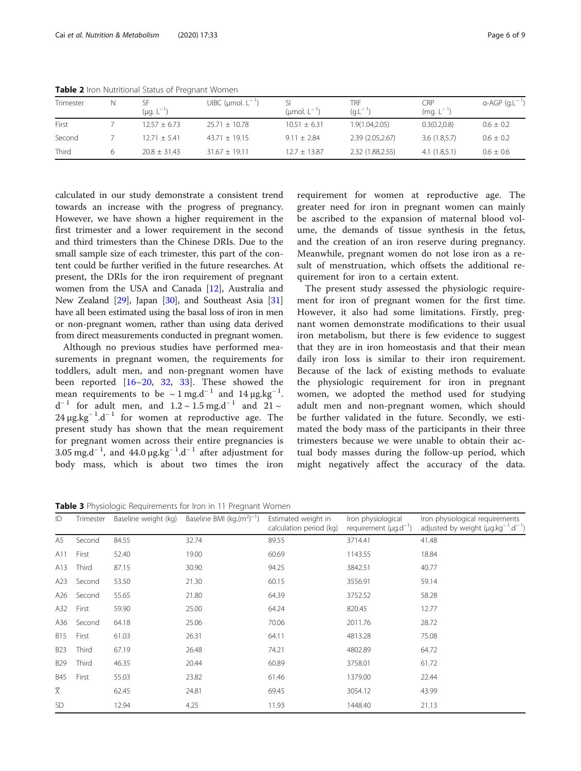| Trimester | N | SF<br>(µg. L   | UIBC ( $\mu$ mol. $L^{-1}$ ) | (umol. $L^{-1}$ ) | TRF<br>$(Q.L^{-1})$ | CRP<br>(mg. $L^{-1}$ | $\alpha$ -AGP (g.L <sup>-1</sup> ) |
|-----------|---|----------------|------------------------------|-------------------|---------------------|----------------------|------------------------------------|
| First     |   | $12.57 + 6.73$ | $25.71 + 10.78$              | $10.51 + 6.31$    | 1.9(1.04, 2.05)     | 0.3(0.2,0.8)         | $0.6 \pm 0.2$                      |
| Second    |   | $12.71 + 5.41$ | $43.71 + 19.15$              | $9.11 + 2.84$     | 2.39 (2.05,2.67)    | 3.6(1.8.5.7)         | $0.6 \pm 0.2$                      |
| Third     |   | $20.8 + 31.43$ | $31.67 + 19.11$              | $12.7 + 13.87$    | 2.32 (1.88,2.55)    | 4.1(1.8.5.1)         | $0.6 \pm 0.6$                      |

<span id="page-5-0"></span>Table 2 Iron Nutritional Status of Pregnant Women

calculated in our study demonstrate a consistent trend towards an increase with the progress of pregnancy. However, we have shown a higher requirement in the first trimester and a lower requirement in the second and third trimesters than the Chinese DRIs. Due to the small sample size of each trimester, this part of the content could be further verified in the future researches. At present, the DRIs for the iron requirement of pregnant women from the USA and Canada [\[12](#page-7-0)], Australia and New Zealand [[29](#page-8-0)], Japan [\[30](#page-8-0)], and Southeast Asia [[31](#page-8-0)] have all been estimated using the basal loss of iron in men or non-pregnant women, rather than using data derived from direct measurements conducted in pregnant women.

Although no previous studies have performed measurements in pregnant women, the requirements for toddlers, adult men, and non-pregnant women have been reported [[16](#page-7-0)–[20,](#page-7-0) [32,](#page-8-0) [33](#page-8-0)]. These showed the mean requirements to be  $\sim 1 \text{ mg.d}^{-1}$  and  $14 \mu\text{g.kg}^{-1}$ .  $d^{-1}$  for adult men, and  $1.2 \sim 1.5$  mg.d<sup>-1</sup> and  $21 \sim$ 24 μg.kg<sup>-1</sup>.d<sup>-1</sup> for women at reproductive age. The present study has shown that the mean requirement for pregnant women across their entire pregnancies is  $3.05 \text{ mg.d}^{-1}$ , and  $44.0 \mu\text{g.kg}^{-1}\text{.d}^{-1}$  after adjustment for body mass, which is about two times the iron requirement for women at reproductive age. The greater need for iron in pregnant women can mainly be ascribed to the expansion of maternal blood volume, the demands of tissue synthesis in the fetus, and the creation of an iron reserve during pregnancy. Meanwhile, pregnant women do not lose iron as a result of menstruation, which offsets the additional requirement for iron to a certain extent.

The present study assessed the physiologic requirement for iron of pregnant women for the first time. However, it also had some limitations. Firstly, pregnant women demonstrate modifications to their usual iron metabolism, but there is few evidence to suggest that they are in iron homeostasis and that their mean daily iron loss is similar to their iron requirement. Because of the lack of existing methods to evaluate the physiologic requirement for iron in pregnant women, we adopted the method used for studying adult men and non-pregnant women, which should be further validated in the future. Secondly, we estimated the body mass of the participants in their three trimesters because we were unable to obtain their actual body masses during the follow-up period, which might negatively affect the accuracy of the data.

Table 3 Physiologic Requirements for Iron in 11 Pregnant Women

| ID                | Trimester | Baseline weight (kg) | Baseline BMI (kg. $(m^2)^{-1}$ ) | Estimated weight in<br>calculation period (kg) | Iron physiological<br>requirement $(\mu q.d^{-1})$ | Iron physiological requirements<br>adjusted by weight $(\mu q.kq^{-1}.d^{-1})$ |
|-------------------|-----------|----------------------|----------------------------------|------------------------------------------------|----------------------------------------------------|--------------------------------------------------------------------------------|
| A5                | Second    | 84.55                | 32.74                            | 89.55                                          | 3714.41                                            | 41.48                                                                          |
| A11               | First     | 52.40                | 19.00                            | 60.69                                          | 1143.55                                            | 18.84                                                                          |
| A13               | Third     | 87.15                | 30.90                            | 94.25                                          | 3842.51                                            | 40.77                                                                          |
| A23               | Second    | 53.50                | 21.30                            | 60.15                                          | 3556.91                                            | 59.14                                                                          |
| A26               | Second    | 55.65                | 21.80                            | 64.39                                          | 3752.52                                            | 58.28                                                                          |
| A32               | First     | 59.90                | 25.00                            | 64.24                                          | 820.45                                             | 12.77                                                                          |
| A36               | Second    | 64.18                | 25.06                            | 70.06                                          | 2011.76                                            | 28.72                                                                          |
| <b>B15</b>        | First     | 61.03                | 26.31                            | 64.11                                          | 4813.28                                            | 75.08                                                                          |
| <b>B23</b>        | Third     | 67.19                | 26.48                            | 74.21                                          | 4802.89                                            | 64.72                                                                          |
| <b>B29</b>        | Third     | 46.35                | 20.44                            | 60.89                                          | 3758.01                                            | 61.72                                                                          |
| <b>B45</b>        | First     | 55.03                | 23.82                            | 61.46                                          | 1379.00                                            | 22.44                                                                          |
| $\overline{\chi}$ |           | 62.45                | 24.81                            | 69.45                                          | 3054.12                                            | 43.99                                                                          |
| <b>SD</b>         |           | 12.94                | 4.25                             | 11.93                                          | 1448.40                                            | 21.13                                                                          |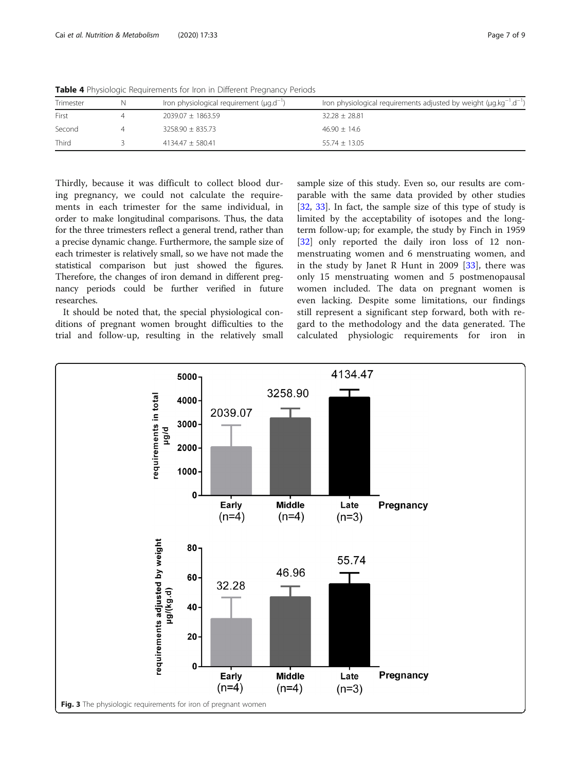| Trimester | Iron physiological requirement $(\mu q.d^{-1})$ | Iron physiological requirements adjusted by weight ( $\mu q.kq^{-1}.d^{-1}$ ) |
|-----------|-------------------------------------------------|-------------------------------------------------------------------------------|
| First     | $2039.07 \pm 1863.59$                           | $32.28 \pm 28.81$                                                             |
| Second    | $3258.90 \pm 835.73$                            | $46.90 + 14.6$                                                                |
| Third     | $4134.47 + 580.41$                              | $55.74 + 13.05$                                                               |

<span id="page-6-0"></span>Table 4 Physiologic Requirements for Iron in Different Pregnancy Periods

Thirdly, because it was difficult to collect blood during pregnancy, we could not calculate the requirements in each trimester for the same individual, in order to make longitudinal comparisons. Thus, the data for the three trimesters reflect a general trend, rather than a precise dynamic change. Furthermore, the sample size of each trimester is relatively small, so we have not made the statistical comparison but just showed the figures. Therefore, the changes of iron demand in different pregnancy periods could be further verified in future researches.

It should be noted that, the special physiological conditions of pregnant women brought difficulties to the trial and follow-up, resulting in the relatively small sample size of this study. Even so, our results are comparable with the same data provided by other studies [[32,](#page-8-0) [33](#page-8-0)]. In fact, the sample size of this type of study is limited by the acceptability of isotopes and the longterm follow-up; for example, the study by Finch in 1959 [[32\]](#page-8-0) only reported the daily iron loss of 12 nonmenstruating women and 6 menstruating women, and in the study by Janet R Hunt in 2009 [[33\]](#page-8-0), there was only 15 menstruating women and 5 postmenopausal women included. The data on pregnant women is even lacking. Despite some limitations, our findings still represent a significant step forward, both with regard to the methodology and the data generated. The calculated physiologic requirements for iron in

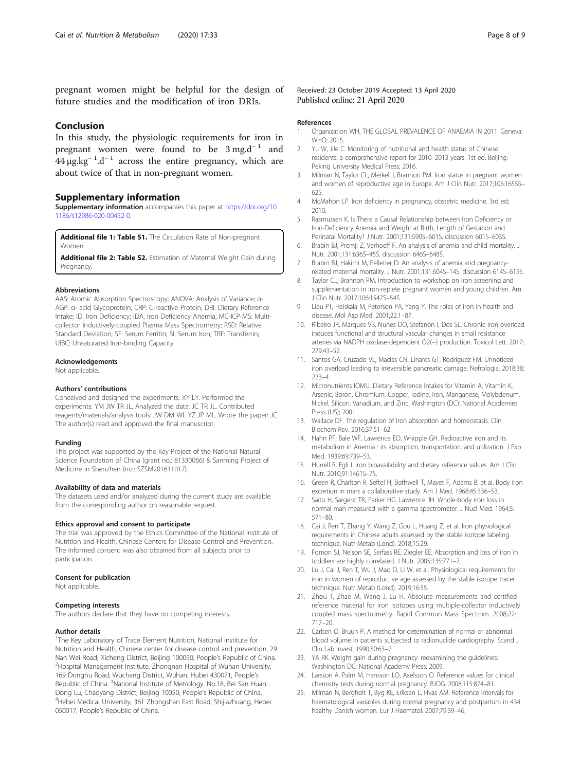<span id="page-7-0"></span>pregnant women might be helpful for the design of future studies and the modification of iron DRIs.

#### Conclusion

In this study, the physiologic requirements for iron in pregnant women were found to be  $3 \text{ mg.d}^{-1}$  and  $44 \mu$ g.kg<sup>-1</sup>.d<sup>-1</sup> across the entire pregnancy, which are about twice of that in non-pregnant women.

#### Supplementary information

Supplementary information accompanies this paper at [https://doi.org/10.](https://doi.org/10.1186/s12986-020-00452-0) [1186/s12986-020-00452-0](https://doi.org/10.1186/s12986-020-00452-0).

Additional file 1: Table S1. The Circulation Rate of Non-pregnant **Women** 

Additional file 2: Table S2. Estimation of Maternal Weight Gain during Pregnancy.

#### Abbreviations

AAS: Atomic Absorption Spectroscopy; ANOVA: Analysis of Variance; α-AGP: α- acid Glycoprotein; CRP: C-reactive Protein; DRI: Dietary Reference Intake; ID: Iron Deficiency; IDA: Iron Deficiency Anemia; MC-ICP-MS: Multicollector Inductively-coupled Plasma Mass Spectrometry; RSD: Relative Standard Deviation; SF: Serum Ferritin; SI: Serum Iron; TRF: Transferrin; UIBC: Unsaturated Iron-binding Capacity

#### Acknowledgements

Not applicable.

#### Authors' contributions

Conceived and designed the experiments: XY LY. Performed the experiments: YM JW TR JL. Analyzed the data: JC TR JL. Contributed reagents/materials/analysis tools: JW DM WL YZ JP ML. Wrote the paper: JC. The author(s) read and approved the final manuscript.

#### Funding

This project was supported by the Key Project of the National Natural Science Foundation of China (grant no.: 81330066) & Sanming Project of Medicine in Shenzhen (no.: SZSM201611017).

#### Availability of data and materials

The datasets used and/or analyzed during the current study are available from the corresponding author on reasonable request.

#### Ethics approval and consent to participate

The trial was approved by the Ethics Committee of the National Institute of Nutrition and Health, Chinese Centers for Disease Control and Prevention. The informed consent was also obtained from all subjects prior to participation.

#### Consent for publication

Not applicable.

#### Competing interests

The authors declare that they have no competing interests.

#### Author details

<sup>1</sup>The Key Laboratory of Trace Element Nutrition, National Institute for Nutrition and Health, Chinese center for disease control and prevention, 29 Nan Wei Road, Xicheng District, Beijing 100050, People's Republic of China. <sup>2</sup> <sup>2</sup>Hospital Management Institute, Zhongnan Hospital of Wuhan University, 169 Donghu Road, Wuchang District, Wuhan, Hubei 430071, People's Republic of China. <sup>3</sup>National Institute of Metrology, No.18, Bei San Huan Dong Lu, Chaoyang District, Beijing 10050, People's Republic of China. <sup>4</sup> <sup>4</sup>Hebei Medical University, 361 Zhongshan East Road, Shijiazhuang, Hebei 050017, People's Republic of China.

Received: 23 October 2019 Accepted: 13 April 2020 Published online: 21 April 2020

#### References

- 1. Organization WH. THE GLOBAL PREVALENCE OF ANAEMIA IN 2011. Geneva: WHO; 2015.
- 2. Yu W, Jile C. Monitoring of nutritional and health status of Chinese residents: a comprehensive report for 2010–2013 years. 1st ed. Beijing: Peking University Medical Press; 2016.
- 3. Milman N, Taylor CL, Merkel J, Brannon PM. Iron status in pregnant women and women of reproductive age in Europe. Am J Clin Nutr. 2017;106:1655S-62S.
- 4. McMahon LP. Iron deficiency in pregnancy, obstetric medicine. 3rd ed; 2010.
- 5. Rasmussen K. Is There a Causal Relationship between Iron Deficiency or Iron-Deficiency Anemia and Weight at Birth, Length of Gestation and Perinatal Mortality? J Nutr. 2001;131:590S–601S. discussion 601S–603S.
- 6. Brabin BJ, Premji Z, Verhoeff F. An analysis of anemia and child mortality. J Nutr. 2001;131:636S–45S. discussion 646S–648S.
- 7. Brabin BJ, Hakimi M, Pelletier D. An analysis of anemia and pregnancyrelated maternal mortality. J Nutr. 2001;131:604S–14S. discussion 614S–615S.
- 8. Taylor CL, Brannon PM. Introduction to workshop on iron screening and supplementation in iron-replete pregnant women and young children. Am J Clin Nutr. 2017;106:1547S–54S.
- 9. Lieu PT, Heiskala M, Peterson PA, Yang Y. The roles of iron in health and disease. Mol Asp Med. 2001;22:1–87.
- 10. Ribeiro JR, Marques VB, Nunes DO, Stefanon I, Dos SL. Chronic iron overload induces functional and structural vascular changes in small resistance arteries via NADPH oxidase-dependent O2(−) production. Toxicol Lett. 2017; 279:43–52.
- 11. Santos GA, Cruzado VL, Macias CN, Linares GT, Rodriguez FM. Unnoticed iron overload leading to irreversible pancreatic damage. Nefrologia. 2018;38: 223–4.
- 12. Micronutrients IOMU. Dietary Reference Intakes for Vitamin A, Vitamin K, Arsenic, Boron, Chromium, Copper, Iodine, Iron, Manganese, Molybdenum, Nickel, Silicon, Vanadium, and Zinc. Washington (DC): National Academies Press (US); 2001.
- 13. Wallace DF. The regulation of Iron absorption and homeostasis. Clin Biochem Rev. 2016;37:51–62.
- 14. Hahn PF, Bale WF, Lawrence EO, Whipple GH. Radioactive iron and its metabolism in Anemia : its absorption, transportation, and utilization. J Exp Med. 1939;69:739–53.
- 15. Hurrell R, Egli I. Iron bioavailability and dietary reference values. Am J Clin Nutr. 2010;91:1461S–7S.
- 16. Green R, Charlton R, Seftel H, Bothwell T, Mayet F, Adams B, et al. Body iron excretion in man: a collaborative study. Am J Med. 1968;45:336–53.
- 17. Saito H, Sargent TR, Parker HG, Lawrence JH. Whole-body iron loss in normal man measured with a gamma spectrometer. J Nucl Med. 1964;5: 571–80.
- 18. Cai J, Ren T, Zhang Y, Wang Z, Gou L, Huang Z, et al. Iron physiological requirements in Chinese adults assessed by the stable isotope labeling technique. Nutr Metab (Lond). 2018;15:29.
- 19. Fomon SJ, Nelson SE, Serfass RE, Ziegler EE. Absorption and loss of iron in toddlers are highly correlated. J Nutr. 2005;135:771–7.
- 20. Lu J, Cai J, Ren T, Wu J, Mao D, Li W, et al. Physiological requirements for iron in women of reproductive age assessed by the stable isotope tracer technique. Nutr Metab (Lond). 2019;16:55.
- 21. Zhou T, Zhao M, Wang J, Lu H. Absolute measurements and certified reference material for iron isotopes using multiple-collector inductively coupled mass spectrometry. Rapid Commun Mass Spectrom. 2008;22: 717–20.
- 22. Carlsen O, Bruun P. A method for determination of normal or abnormal blood volume in patients subjected to radionuclide cardiography. Scand J Clin Lab Invest. 1990;50:63–7.
- 23. YA RK. Weight gain during pregnancy: reexamining the guidelines: Washington DC: National Academy Press; 2009.
- 24. Larsson A, Palm M, Hansson LO, Axelsson O. Reference values for clinical chemistry tests during normal pregnancy. BJOG. 2008;115:874–81.
- 25. Milman N, Bergholt T, Byg KE, Eriksen L, Hvas AM. Reference intervals for haematological variables during normal pregnancy and postpartum in 434 healthy Danish women. Eur J Haematol. 2007;79:39–46.